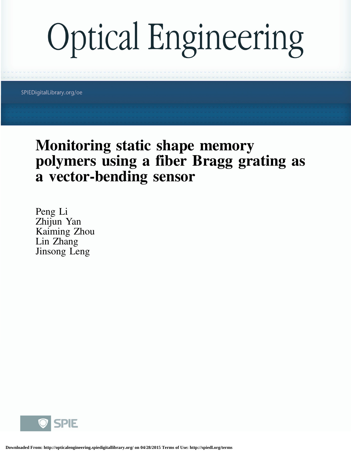# **Optical Engineering**

SPIEDigitalLibrary.org/oe

## Monitoring static shape memory polymers using a fiber Bragg grating as a vector-bending sensor

Peng Li Zhijun Yan Kaiming Zhou Lin Zhang Jinsong Leng

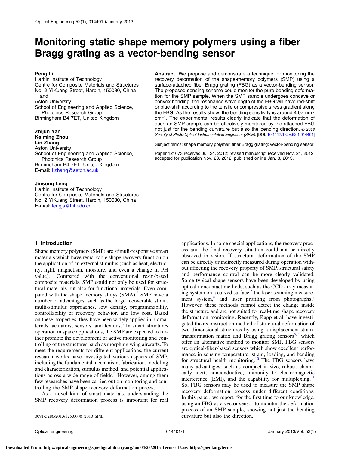### Monitoring static shape memory polymers using a fiber Bragg grating as a vector-bending sensor

#### Peng Li

Harbin Institute of Technology Centre for Composite Materials and Structures No. 2 YiKuang Street, Harbin, 150080, China and Aston University School of Engineering and Applied Science, Photonics Research Group Birmingham B4 7ET, United Kingdom

#### Zhijun Yan Kaiming Zhou Lin Zhang

Aston University School of Engineering and Applied Science, Photonics Research Group Birmingham B4 7ET, United Kingdom E-mail: l.zhang@aston.ac.uk

#### Jinsong Leng

Harbin Institute of Technology Centre for Composite Materials and Structures No. 2 YiKuang Street, Harbin, 150080, China E-mail: lengjs@hit.edu.cn

#### Abstract. We propose and demonstrate a technique for monitoring the recovery deformation of the shape-memory polymers (SMP) using a surface-attached fiber Bragg grating (FBG) as a vector-bending sensor. The proposed sensing scheme could monitor the pure bending deformation for the SMP sample. When the SMP sample undergoes concave or convex bending, the resonance wavelength of the FBG will have red-shift or blue-shift according to the tensile or compressive stress gradient along the FBG. As the results show, the bending sensitivity is around 4.07 nm/ cm<sup>−</sup><sup>1</sup>. The experimental results clearly indicate that the deformation of such an SMP sample can be effectively monitored by the attached FBG not just for the bending curvature but also the bending direction. © 2013 Society of Photo-Optical Instrumentation Engineers (SPIE). [DOI: [10.1117/1.OE.52.1.014401\]](http://dx.doi.org/10.1117/1.OE.52.1.014401)

Subject terms: shape memory polymer; fiber Bragg grating; vector-bending sensor.

Paper 121073 received Jul. 24, 2012; revised manuscript received Nov. 21, 2012; accepted for publication Nov. 28, 2012; published online Jan. 3, 2013.

#### 1 Introduction

Shape memory polymers (SMP) are stimuli-responsive smart materials which have remarkable shape recovery function on the application of an external stimulus (such as heat, electricity, light, magnetism, moisture, and even a change in PH value). Compared with the conventional resin-based composite materials, SMP could not only be used for structural materials but also for functional materials. Even compared with the shape memory alloys  $(SMA)<sup>2</sup>$  $(SMA)<sup>2</sup>$  $(SMA)<sup>2</sup>$  SMP have a number of advantages, such as the large recoverable strain, multi-stimulus approaches, low density, programmability, controllability of recovery behavior, and low cost. Based on these properties, they have been widely applied in biomaterials, actuators, sensors, and textiles. $3 \text{ In smart structures}$  $3 \text{ In smart structures}$ operation in space applications, the SMP are expected to further promote the development of active monitoring and controlling of the structures, such as morphing wing aircrafts. To meet the requirements for different applications, the current research works have investigated various aspects of SMP, including the fundamental mechanism, fabrication, modeling and characterization, stimulus method, and potential applica-tions across a wide range of fields.<sup>[4](#page-5-3)</sup> However, among them few researches have been carried out on monitoring and controlling the SMP shape recovery deformation process.

As a novel kind of smart materials, understanding the SMP recovery deformation process is important for real

applications. In some special applications, the recovery process and the final recovery situation could not be directly observed in vision. If structural deformation of the SMP can be directly or indirectly measured during operation without affecting the recovery property of SMP, structural safety and performance control can be more clearly validated. Some typical shape sensors have been developed by using optical noncontact methods, such as the CCD array measuring system on a curved surface, $\delta$  the laser scanning measure-ment system,<sup>[6](#page-5-5)</sup> and laser profiling from photographs.<sup>[7](#page-5-6)</sup> However, these methods cannot detect the change inside the structure and are not suited for real-time shape recovery deformation monitoring. Recently, Rapp et al. have investigated the reconstruction method of structural deformation of two dimensional structures by using a displacement-straintransformation matrix and Bragg grating sensors $8,9$  $8,9$  $8,9$  which offer an alternative method to monitor SMP. FBG sensors are optical-fiber-based sensors which show excellent performance in sensing temperature, strain, loading, and bending for structural health monitoring.<sup>[10](#page-5-9)</sup> The FBG sensors have many advantages, such as compact in size, robust, chemically inert, nonconductive, immunity to electromagnetic interference (EMI), and the capability for multiplexing.<sup>[11](#page-5-10)</sup> So, FBG sensors may be used to measure the SMP shape recovery deformation process under different conditions. In this paper, we report, for the first time to our knowledge, using an FBG as a vector sensor to monitor the deformation process of an SMP sample, showing not just the bending 0091-3286/2013/\$25.00 © 2013 SPIE curvature but also the direction.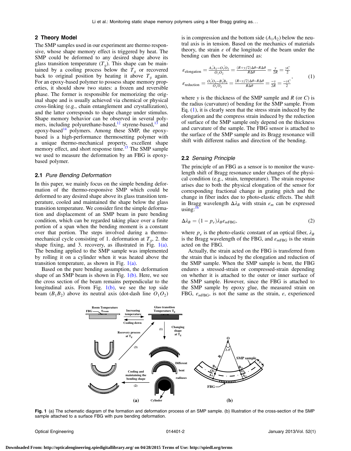#### 2 Theory Model

The SMP samples used in our experiment are thermo responsive, whose shape memory effect is triggered by heat. The SMP could be deformed to any desired shape above its glass transition temperature  $(T_q)$ . This shape can be maintained by a cooling process below the  $T<sub>g</sub>$  or recovered back to original position by heating it above  $T<sub>q</sub>$  again. For an epoxy-based polymer to possess shape memory properties, it should show two states: a frozen and reversible phase. The former is responsible for memorizing the original shape and is usually achieved via chemical or physical cross-linking (e.g., chain entanglement and crystallization), and the latter corresponds to shape change under stimulus. Shape memory behavior can be observed in several poly-mers, including polyurethane-based,<sup>[12](#page-5-11)</sup> styrene-based,<sup>[13](#page-5-12)</sup> and epoxy-based<sup>[14](#page-5-13)</sup> polymers. Among these SMP, the epoxybased is a high-performance thermosetting polymer with a unique thermo-mechanical property, excellent shape memory effect, and short response time.<sup>[15](#page-5-14)</sup> The SMP sample we used to measure the deformation by an FBG is epoxybased polymer.

#### 2.1 Pure Bending Deformation

In this paper, we mainly focus on the simple bending deformation of the thermo-responsive SMP which could be deformed to any desired shape above its glass transition temperature, cooled and maintained the shape below the glass transition temperature. We consider first the simple deformation and displacement of an SMP beam in pure bending condition, which can be regarded taking place over a finite portion of a span when the bending moment is a constant over that portion. The steps involved during a thermomechanical cycle consisting of 1. deformation at  $T_g$ , 2. the shape fixing, and 3. recovery, as illustrated in Fig.  $1(a)$ . The bending applied to the SMP sample was implemented by rolling it on a cylinder when it was heated above the transition temperature, as shown in Fig. [1\(a\).](#page-2-0)

<span id="page-2-0"></span>Based on the pure bending assumption, the deformation shape of an SMP beam is shown in Fig.  $1(b)$ . Here, we see the cross section of the beam remains perpendicular to the longitudinal axis. From Fig.  $1(b)$ , we see the top side beam  $(B_1B_2)$  above its neutral axis (dot-dash line  $O_1O_2$ ) is in compression and the bottom side  $(A_1A_2)$  below the neutral axis is in tension. Based on the mechanics of materials theory, the strain  $\varepsilon$  of the longitude of the beam under the bending can then be determined as:

<span id="page-2-1"></span>
$$
\varepsilon_{\text{elongation}} = \frac{A_1 A_2 - O_1 O_2}{O_1 O_2} = \frac{(R + y/2)\Delta\theta - R\Delta\theta}{R\Delta\theta} = \frac{y}{2R} = \frac{yC}{2}
$$
\n
$$
\varepsilon_{\text{reduction}} = \frac{O_1 O_2 - B_1 B_2}{O_1 O_2} = \frac{(R - y/2)\Delta\theta - R\Delta\theta}{R\Delta\theta} = \frac{-y}{2R} = \frac{-yC}{2},\tag{1}
$$

where  $y$  is the thickness of the SMP sample and  $R$  (or  $C$ ) is the radius (curvature) of bending for the SMP sample. From Eq.  $(1)$  $(1)$ , it is clearly seen that the stress strain induced by the elongation and the compress strain induced by the reduction of surface of the SMP sample only depend on the thickness and curvature of the sample. The FBG sensor is attached to the surface of the SMP sample and its Bragg resonance will shift with different radius and direction of the bending.

#### 2.2 Sensing Principle

The principle of an FBG as a sensor is to monitor the wavelength shift of Bragg resonance under changes of the physical condition (e.g., strain, temperature). The strain response arises due to both the physical elongation of the sensor for corresponding fractional change in grating pitch and the change in fiber index due to photo-elastic effects. The shift in Bragg wavelength  $\Delta \lambda_B$  with strain  $\varepsilon_m$  can be expressed  $using:$ 

<span id="page-2-2"></span>
$$
\Delta \lambda_B = (1 - p_e) \lambda_B \varepsilon_{mFBG},\tag{2}
$$

where  $p_e$  is the photo-elastic constant of an optical fiber,  $\lambda_B$ is the Bragg wavelength of the FBG, and  $\varepsilon_{mFBG}$  is the strain acted on the FBG.

Actually, the strain acted on the FBG is transferred from the strain that is induced by the elongation and reduction of the SMP sample. When the SMP sample is bent, the FBG endures a stressed-strain or compressed-strain depending on whether it is attached to the outer or inner surface of the SMP sample. However, since the FBG is attached to the SMP sample by epoxy glue, the measured strain on FBG,  $\varepsilon_{mFBG}$ , is not the same as the strain,  $\varepsilon$ , experienced



Fig. 1 (a) The schematic diagram of the formation and deformation process of an SMP sample. (b) Illustration of the cross-section of the SMP sample attached to a surface FBG with pure bending deformation.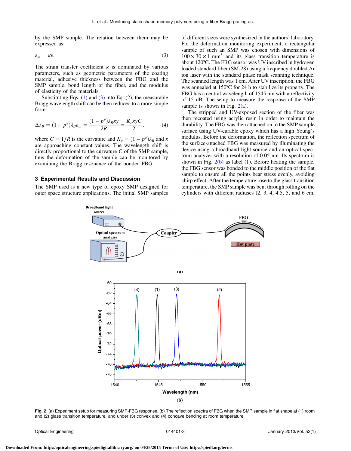<span id="page-3-0"></span>by the SMP sample. The relation between them may be expressed as:

$$
\varepsilon_m = \kappa \varepsilon. \tag{3}
$$

The strain transfer coefficient  $\kappa$  is dominated by various parameters, such as geometric parameters of the coating material, adhesive thickness between the FBG and the SMP sample, bond length of the fiber, and the modulus of elasticity of the materials.

Substituting Eqs.  $(1)$  $(1)$  and  $(3)$  $(3)$  into Eq.  $(2)$  $(2)$ , the measurable Bragg wavelength shift can be then reduced to a more simple form:

$$
\Delta \lambda_B = (1 - p^e) \lambda_B \varepsilon_m = \frac{(1 - p^e) \lambda_B \kappa y}{2R} = \frac{K_e \kappa y C}{2},\tag{4}
$$

where  $C = 1/R$  is the curvature and  $K_{\varepsilon} = (1 - p^e)\lambda_B$  and  $\kappa$ are approaching constant values. The wavelength shift is directly proportional to the curvature  $C$  of the SMP sample, thus the deformation of the sample can be monitored by examining the Bragg resonance of the bonded FBG.

#### 3 Experimental Results and Discussion

<span id="page-3-1"></span>The SMP used is a new type of epoxy SMP designed for outer space structure applications. The initial SMP samples of different sizes were synthesized in the authors' laboratory. For the deformation monitoring experiment, a rectangular sample of such an SMP was chosen with dimensions of  $100 \times 30 \times 1$  mm<sup>3</sup> and its glass transition temperature is about 120°C. The FBG sensor was UV inscribed in hydrogen loaded standard fiber (SM-28) using a frequency doubled Ar ion laser with the standard phase mask scanning technique. The scanned length was 1 cm. After UV inscription, the FBG was annealed at 150°C for 24 h to stabilize its property. The FBG has a central wavelength of 1545 nm with a reflectivity of 15 dB. The setup to measure the response of the SMP sample is shown in Fig.  $2(a)$ .

The stripped and UV-exposed section of the fiber was then recoated using acrylic resin in order to maintain the durability. The FBG was then attached on to the SMP sample surface using UV-curable epoxy which has a high Young's modulus. Before the deformation, the reflection spectrum of the surface-attached FBG was measured by illuminating the device using a broadband light source and an optical spectrum analyzer with a resolution of 0.05 nm. Its spectrum is shown in Fig.  $2(b)$  as label (1). Before heating the sample, the FBG sensor was bonded to the middle position of the flat sample to ensure all the points bear stress evenly, avoiding chirp effect. After the temperature rose to the glass transition temperature, the SMP sample was bent through rolling on the cylinders with different radiuses (2, 3, 4, 4.5, 5, and 6 cm,



Fig. 2 (a) Experiment setup for measuring SMP-FBG response. (b) The reflection spectra of FBG when the SMP sample in flat shape at (1) room and (2) glass transition temperature, and under (3) convex and (4) concave bending at room temperature.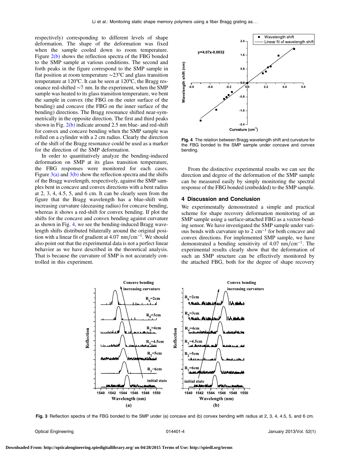respectively) corresponding to different levels of shape deformation. The shape of the deformation was fixed when the sample cooled down to room temperature. Figure [2\(b\)](#page-3-1) shows the reflection spectra of the FBG bonded to the SMP sample at various conditions. The second and forth peaks in the figure correspond to the SMP sample in flat position at room temperature ∼23°C and glass transition temperature at 120°C. It can be seen at 120°C, the Bragg resonance red-shifted ∼7 nm. In the experiment, when the SMP sample was heated to its glass transition temperature, we bent the sample in convex (the FBG on the outer surface of the bending) and concave (the FBG on the inner surface of the bending) directions. The Bragg resonance shifted near-symmetrically in the opposite direction. The first and third peaks shown in Fig.  $2(b)$  indicate around 2.5 nm blue- and red-shift for convex and concave bending when the SMP sample was rolled on a cylinder with a 2 cm radius. Clearly the direction of the shift of the Bragg resonance could be used as a marker for the direction of the SMP deformation.

In order to quantitatively analyze the bending-induced deformation on SMP at its glass transition temperature, the FBG responses were monitored for each cases. Figure  $3(a)$  and  $3(b)$  show the reflection spectra and the shifts of the Bragg wavelength, respectively, against the SMP samples bent in concave and convex directions with a bent radius at 2, 3, 4, 4.5, 5, and 6 cm. It can be clearly seen from the figure that the Bragg wavelength has a blue-shift with increasing curvature (deceasing radius) for concave bending, whereas it shows a red-shift for convex bending. If plot the shifts for the concave and convex bending against curvature as shown in Fig. [4](#page-4-1), we see the bending-induced Bragg wavelength shifts distributed bilaterally around the original position with a linear fit of gradient at 4.07 nm∕cm<sup>−</sup><sup>1</sup>. We should also point out that the experimental data is not a perfect linear behavior as we have described in the theoretical analysis. That is because the curvature of SMP is not accurately controlled in this experiment.

<span id="page-4-1"></span>

Fig. 4 The relation between Bragg wavelength shift and curvature for the FBG bonded to the SMP sample under concave and convex bending.

From the distinctive experimental results we can see the direction and degree of the deformation of the SMP sample can be measured easily by simply monitoring the spectral response of the FBG bonded (embedded) to the SMP sample.

#### 4 Discussion and Conclusion

We experimentally demonstrated a simple and practical scheme for shape recovery deformation monitoring of an SMP sample using a surface-attached FBG as a vector-bending sensor. We have investigated the SMP sample under various bends with curvature up to 2 cm<sup>−</sup><sup>1</sup> for both concave and convex directions. For implemented SMP sample, we have demonstrated a bending sensitivity of 4.07 nm∕cm<sup>−</sup><sup>1</sup>. The experimental results clearly show that the deformation of such an SMP structure can be effectively monitored by the attached FBG, both for the degree of shape recovery

<span id="page-4-0"></span>

Fig. 3 Reflection spectra of the FBG bonded to the SMP under (a) concave and (b) convex bending with radius at 2, 3, 4, 4.5, 5, and 6 cm.